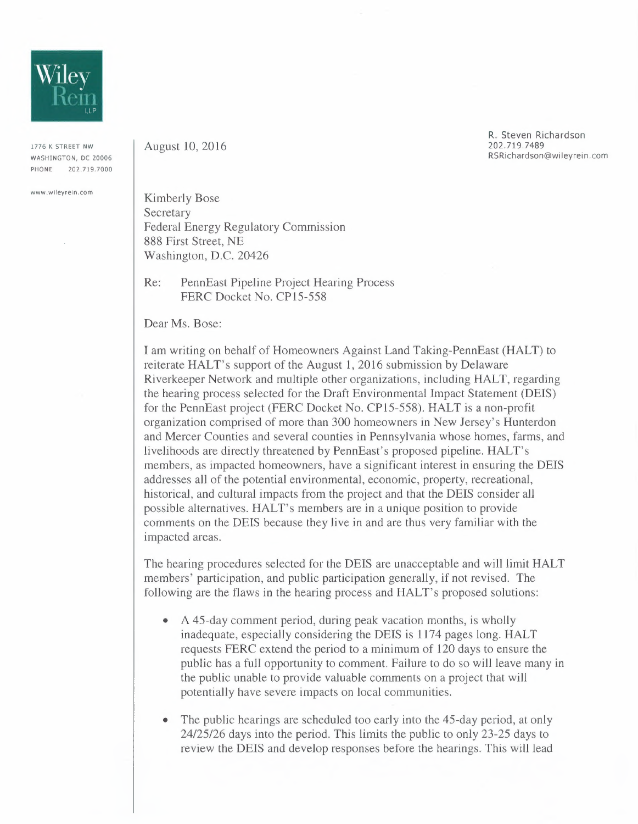

1776 K STREET NW WASHINGTON, DC 20006 PHONE 202.719.7000

**www.wileyrein.com** 

August 10,2016

R. Steven Richardson 202.719.7489 RSRichardson@wileyrein.com

Kimberly Bose Secretary Federal Energy Regulatory Commission 888 First Street, NE Washington, D.C. 20426

Re: PennEast Pipeline Project Hearing Process FERC Docket No. CP15-558

Dear Ms. Bose:

I am writing on behalf of Homeowners Against Land Taking-PennEast (HALT) to reiterate HALT's support of the August 1,2016 submission by Delaware Riverkeeper Network and multiple other organizations, including HALT, regarding the hearing process selected for the Draft Environmental Impact Statement (DEIS) for the PennEast project (FERC Docket No. CP15-558). HALT is a non-profit organization comprised of more than 300 homeowners in New Jersey's Hunterdon and Mercer Counties and several counties in Pennsylvania whose homes, farms, and livelihoods are directly threatened by PennEast's proposed pipeline. HALT's members, as impacted homeowners, have a significant interest in ensuring the DEIS addresses all of the potential environmental, economic, property, recreational, historical, and cultural impacts from the project and that the DEIS consider all possible alternatives. HALT's members are in a unique position to provide comments on the DEIS because they live in and are thus very familiar with the impacted areas.

The hearing procedures selected for the DEIS are unacceptable and will limit HALT members' participation, and public participation generally, if not revised. The following are the flaws in the hearing process and HALT's proposed solutions:

- A 45-day comment period, during peak vacation months, is wholly inadequate, especially considering the DEIS is 1174 pages long. HALT requests FERC extend the period to a minimum of 120 days to ensure the public has a full opportunity to comment. Failure to do so will leave many in the public unable to provide valuable comments on a project that will potentially have severe impacts on local communities.
- The public hearings are scheduled too early into the 45-day period, at only *24/25/26* days into the period. This limits the public to only 23-25 days to review the DEIS and develop responses before the hearings. This will lead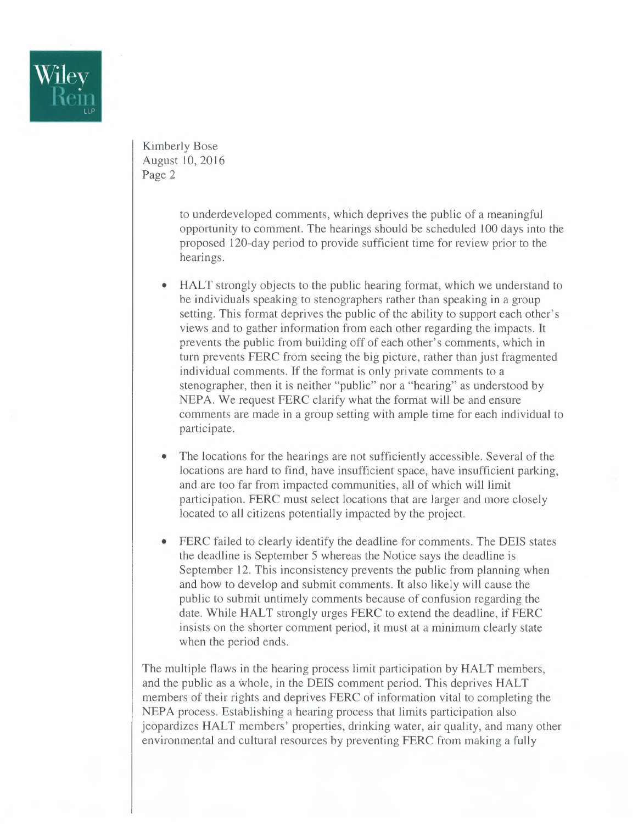

Kimberly Bose August 10,2016 Page 2

> to underdeveloped comments, which deprives the public of a meaningful opportunity to comment. The hearings should be scheduled 100 days into the proposed 120-day period to provide sufficient time for review prior to the hearings.

- HALT strongly objects to the public hearing format, which we understand to be individuals speaking to stenographers rather than speaking in a group setting. This format deprives the public of the ability to support each other's views and to gather information from each other regarding the impacts. It prevents the public from building off of each other's comments, which in turn prevents FERC from seeing the big picture, rather than just fragmented individual comments. If the format is only private comments to a stenographer, then it is neither "public" nor a "hearing" as understood by NEPA. We request FERC clarify what the format will be and ensure comments are made in a group setting with ample time for each individual to participate.
- The locations for the hearings are not sufficiently accessible. Several of the locations are hard to find, have insufficient space, have insufficient parking, and are too far from impacted communities, all of which will limit participation. FERC must select locations that are larger and more closely located to all citizens potentially impacted by the project.
- FERC failed to clearly identify the deadline for comments. The OEIS states the deadline is September 5 whereas the Notice says the deadline is September 12. This inconsistency prevents the public from planning when and how to develop and submit comments. **It** also likely will cause the public to submit untimely comments because of confusion regarding the date. While HALT strongly urges FERC to extend the deadline, if FERC insists on the shorter comment period, it must at a minimum clearly state when the period ends.

The multiple flaws in the hearing process limit participation by HALT members, and the public as a whole, in the DEIS comment period. This deprives HALT members of their rights and deprives FERC of information vital to completing the NEPA process. Establishing a hearing process that limits participation also jeopardizes HALT members' properties, drinking water, air quality, and many other environmental and cultural resources by preventing FERC from making a fully